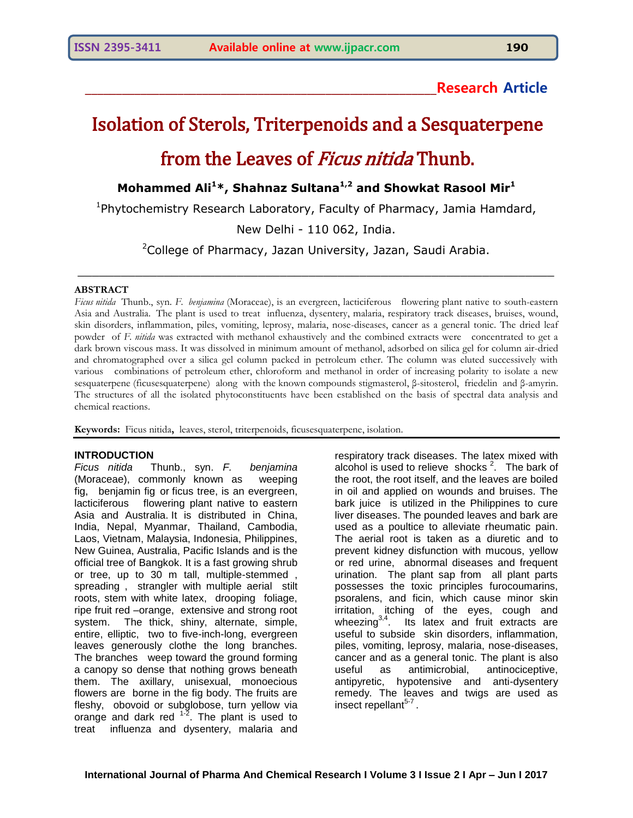# **\_\_\_\_\_\_\_\_\_\_\_\_\_\_\_\_\_\_\_\_\_\_\_\_\_\_\_\_\_\_\_\_\_\_\_\_\_\_\_\_\_\_\_\_\_\_\_\_\_\_\_\_\_\_\_\_\_Research Article**

# Isolation of Sterols, Triterpenoids and a Sesquaterpene from the Leaves of *Ficus nitida* Thunb.

**Mohammed Ali<sup>1</sup>\*, Shahnaz Sultana1,2 and Showkat Rasool Mir<sup>1</sup>**

<sup>1</sup>Phytochemistry Research Laboratory, Faculty of Pharmacy, Jamia Hamdard,

New Delhi - 110 062, India.

<sup>2</sup>College of Pharmacy, Jazan University, Jazan, Saudi Arabia.

\_\_\_\_\_\_\_\_\_\_\_\_\_\_\_\_\_\_\_\_\_\_\_\_\_\_\_\_\_\_\_\_\_\_\_\_\_\_\_\_\_\_\_\_\_\_\_\_\_\_\_\_\_\_\_\_\_\_\_\_\_\_\_\_\_\_

#### **ABSTRACT**

*Ficus nitida* Thunb., syn. *F. benjamina* (Moraceae), is an evergreen, lacticiferous flowering plant native to south-eastern Asia and Australia. The plant is used to treat influenza, dysentery, malaria, respiratory track diseases, bruises, wound, skin disorders, inflammation, piles, vomiting, leprosy, malaria, nose-diseases, cancer as a general tonic. The dried leaf powder of *F. nitida* was extracted with methanol exhaustively and the combined extracts were concentrated to get a dark brown viscous mass. It was dissolved in minimum amount of methanol, adsorbed on silica gel for column air-dried and chromatographed over a silica gel column packed in petroleum ether. The column was eluted successively with various combinations of petroleum ether, chloroform and methanol in order of increasing polarity to isolate a new sesquaterpene (ficusesquaterpene) along with the known compounds stigmasterol, β-sitosterol, friedelin and β-amyrin. The structures of all the isolated phytoconstituents have been established on the basis of spectral data analysis and chemical reactions.

**Keywords:** Ficus nitida**,** leaves, sterol, triterpenoids, ficusesquaterpene, isolation.

#### **INTRODUCTION**

*Ficus nitida* Thunb., syn. *F. benjamina* (Moraceae), commonly known as weeping fig, benjamin fi[g](https://en.wikipedia.org/wiki/Ficus_benjamina#cite_note-GRIN-2) or ficus tree, is an evergreen, lacticiferous flowering plant native to eastern Asia and Australia. It is distributed in China, India, Nepal, Myanmar, Thailand, Cambodia, Laos, Vietnam, Malaysia, Indonesia, Philippines, New Guinea, Australia, Pacific Islands and is the official tree of Bangkok. It is a fast growing shrub or tree, up to 30 m tall, multiple-stemmed , spreading , strangler with multiple aerial stilt roots, stem with white latex, drooping foliage, ripe fruit red –orange, extensive and strong root system. The thick, shiny, alternate, simple, entire, elliptic, two to five-inch-long, evergreen leaves generously clothe the long branches. The branches weep toward the ground forming a canopy so dense that nothing grows beneath them. The axillary, unisexual, monoecious flowers are borne in the fig body. The fruits are fleshy, obovoid or subglobose, turn yellow via orange and dark red  $12$ . The plant is used to treat influenza and dysentery, malaria and

respiratory track diseases. The latex mixed with alcohol is used to relieve shocks<sup>2</sup>. The bark of the root, the root itself, and the leaves are boiled in oil and applied on wounds and bruises. The bark juice is utilized in the Philippines to cure liver diseases. The pounded leaves and bark are used as a poultice to alleviate rheumatic pain. The aerial root is taken as a diuretic and to prevent kidney disfunction with mucous, yellow or red urine, abnormal diseases and frequent urination. The plant sap from all plant parts possesses the toxic principles furocoumarins, psoralens, and ficin, which cause minor skin irritation, itching of the eyes, cough and wheezing<sup>3,4</sup>. Its latex and fruit extracts are useful to subside skin disorders, inflammation, piles, vomiting, leprosy, malaria, nose-diseases, cancer and as a general tonic. The plant is also useful as antimicrobial, antinociceptive, antipyretic, hypotensive and anti-dysentery remedy. The leaves and twigs are used as insect repellant<sup>5-7</sup>.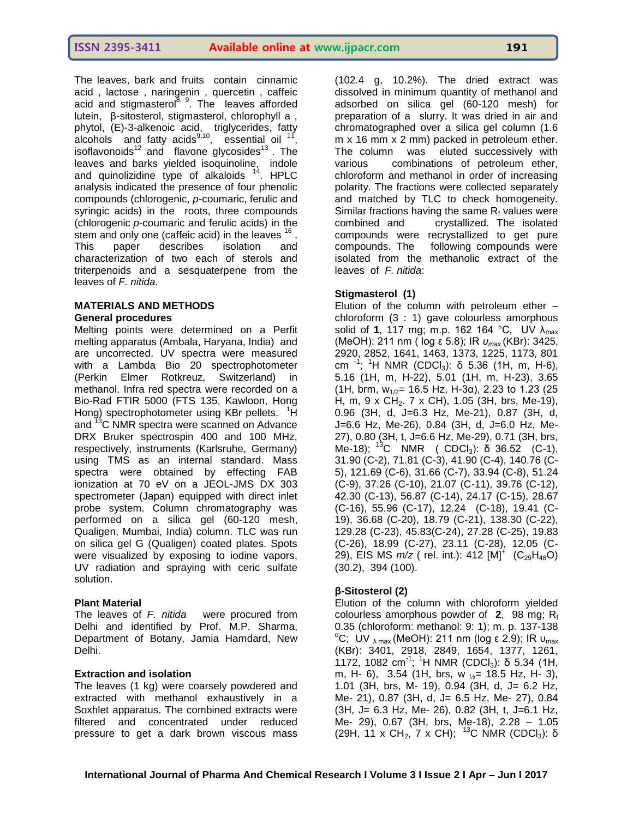The leaves, bark and fruits contain cinnamic acid , lactose , naringenin , quercetin , caffeic acid and stigmasterol<sup>8, 9</sup>. The leaves afforded lutein, β-sitosterol, stigmasterol, chlorophyll a , phytol, (E)-3-alkenoic acid, triglycerides, fatty alcohols and fatty acids $^{9,10}$ , essential oil  $^{11}$ , isoflavonoids<sup>12</sup> and flavone glycosides<sup>13</sup>. The leaves and barks yielded isoquinoline, indole and quinolizidine type of alkaloids  $14$ . HPLC analysis indicated the presence of four phenolic compounds (chlorogenic, *p*-coumaric, ferulic and syringic acids) in the roots, three compounds (chlorogenic *p*-coumaric and ferulic acids) in the stem and only one (caffeic acid) in the leaves  $16$ . This paper describes isolation and

# characterization of two each of sterols and triterpenoids and a sesquaterpene from the leaves of *F. nitida*.

#### **MATERIALS AND METHODS General procedures**

Melting points were determined on a Perfit melting apparatus (Ambala, Haryana, India) and are uncorrected. UV spectra were measured with a Lambda Bio 20 spectrophotometer (Perkin Elmer Rotkreuz, Switzerland) in methanol. Infra red spectra were recorded on a Bio-Rad FTIR 5000 (FTS 135, Kawloon, Hong Hong) spectrophotometer using KBr pellets. <sup>1</sup>H and <sup>13</sup>C NMR spectra were scanned on Advance DRX Bruker spectrospin 400 and 100 MHz, respectively, instruments (Karlsruhe, Germany) using TMS as an internal standard. Mass spectra were obtained by effecting FAB ionization at 70 eV on a JEOL-JMS DX 303 spectrometer (Japan) equipped with direct inlet probe system. Column chromatography was performed on a silica gel (60-120 mesh, Qualigen, Mumbai, India) column. TLC was run on silica gel G (Qualigen) coated plates. Spots were visualized by exposing to iodine vapors, UV radiation and spraying with ceric sulfate solution.

# **Plant Material**

The leaves of *F. nitida* were procured from Delhi and identified by Prof. M.P. Sharma, Department of Botany, Jamia Hamdard, New Delhi.

# **Extraction and isolation**

The leaves (1 kg) were coarsely powdered and extracted with methanol exhaustively in a Soxhlet apparatus. The combined extracts were filtered and concentrated under reduced pressure to get a dark brown viscous mass

(102.4 g, 10.2%). The dried extract was dissolved in minimum quantity of methanol and adsorbed on silica gel (60-120 mesh) for preparation of a slurry. It was dried in air and chromatographed over a silica gel column (1.6 m x 16 mm x 2 mm) packed in petroleum ether. The column was eluted successively with various combinations of petroleum ether, chloroform and methanol in order of increasing polarity. The fractions were collected separately and matched by TLC to check homogeneity. Similar fractions having the same  $R_f$  values were combined and crystallized. The isolated compounds were recrystallized to get pure compounds. The following compounds were isolated from the methanolic extract of the leaves of *F. nitida*:

# **Stigmasterol (1)**

Elution of the column with petroleum ether – chloroform (3 : 1) gave colourless amorphous solid of **1**, 117 mg; m.p. 162 164 °C, UV λ<sub>max</sub> (MeOH): 211 nm ( log ε 5.8); IR *υmax* (KBr): 3425, 2920, 2852, 1641, 1463, 1373, 1225, 1173, 801 cm<sup>-1</sup>; <sup>1</sup>H NMR (CDCl<sub>3</sub>): δ 5.36 (1H, m, H-6), 5.16 (1H, m, H-22), 5.01 (1H, m, H-23), 3.65 (1H, brm,  $w_{1/2}$ = 16.5 Hz, H-3α), 2.23 to 1.23 (25 H, m, 9 x CH<sub>2</sub>. 7 x CH), 1.05 (3H, brs, Me-19), 0.96 (3H, d, J=6.3 Hz, Me-21), 0.87 (3H, d, J=6.6 Hz, Me-26), 0.84 (3H, d, J=6.0 Hz, Me-27), 0.80 (3H, t, J=6.6 Hz, Me-29), 0.71 (3H, brs, Me-18);  $^{13}$ C NMR ( CDCl<sub>3</sub>): δ 36.52 (C-1), 31.90 (C-2), 71.81 (C-3), 41.90 (C-4), 140.76 (C-5), 121.69 (C-6), 31.66 (C-7), 33.94 (C-8), 51.24 (C-9), 37.26 (C-10), 21.07 (C-11), 39.76 (C-12), 42.30 (C-13), 56.87 (C-14), 24.17 (C-15), 28.67 (C-16), 55.96 (C-17), 12.24 (C-18), 19.41 (C-19), 36.68 (C-20), 18.79 (C-21), 138.30 (C-22), 129.28 (C-23), 45.83(C-24), 27.28 (C-25), 19.83 (C-26), 18.99 (C-27), 23.11 (C-28), 12.05 (C-29), EIS MS  $m/z$  ( rel. int.): 412  $[M]^+$  (C<sub>29</sub>H<sub>48</sub>O) (30.2), 394 (100).

# **β-Sitosterol (2)**

Elution of the column with chloroform yielded colourless amorphous powder of  $2$ , 98 mg;  $R_f$ 0.35 (chloroform: methanol: 9: 1); m. p. 137-138 <sup>o</sup>C; UV <sub>λ max</sub> (MeOH): 211 nm (log ε 2.9); IR υ<sub>max</sub> (KBr): 3401, 2918, 2849, 1654, 1377, 1261,  $1172$ , 1082 cm<sup>-1</sup>; <sup>1</sup>H NMR (CDCl<sub>3</sub>): δ 5.34 (1H, m, H- 6), 3.54 (1H, brs, w  $\frac{1}{2}$  = 18.5 Hz, H- 3), 1.01 (3H, brs, M- 19), 0.94 (3H, d, J= 6.2 Hz, Me- 21), 0.87 (3H, d, J= 6.5 Hz, Me- 27), 0.84 (3H, J= 6.3 Hz, Me- 26), 0.82 (3H, t, J=6.1 Hz, Me- 29), 0.67 (3H, brs, Me-18), 2.28 – 1.05 (29H, 11 x CH<sub>2</sub>, 7 x CH); <sup>13</sup>C NMR (CDCl<sub>3</sub>): δ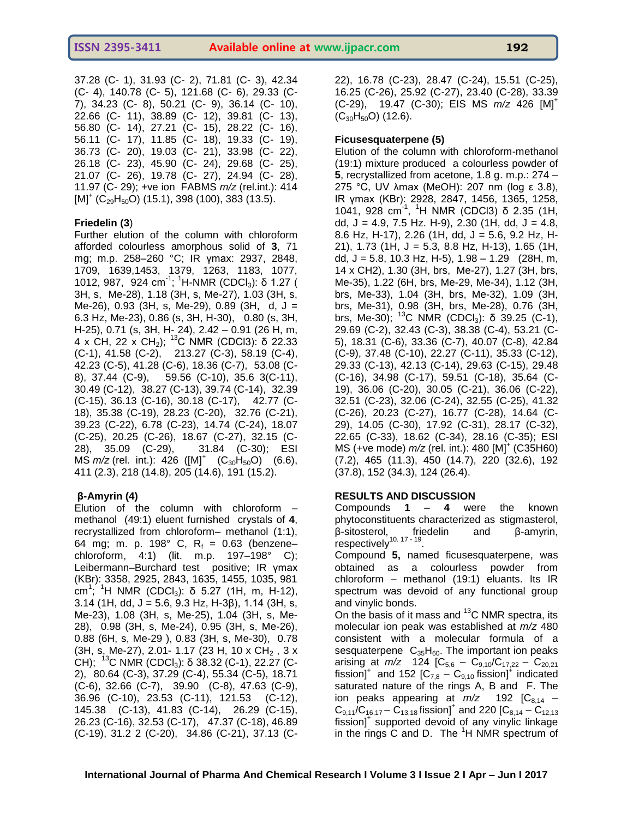37.28 (C- 1), 31.93 (C- 2), 71.81 (C- 3), 42.34 (C- 4), 140.78 (C- 5), 121.68 (C- 6), 29.33 (C-7), 34.23 (C- 8), 50.21 (C- 9), 36.14 (C- 10), 22.66 (C- 11), 38.89 (C- 12), 39.81 (C- 13), 56.80 (C- 14), 27.21 (C- 15), 28.22 (C- 16), 56.11 (C- 17), 11.85 (C- 18), 19.33 (C- 19), 36.73 (C- 20), 19.03 (C- 21), 33.98 (C- 22), 26.18 (C- 23), 45.90 (C- 24), 29.68 (C- 25), 21.07 (C- 26), 19.78 (C- 27), 24.94 (C- 28), 11.97 (C- 29); +ve ion FABMS *m/z* (rel.int.): 414  ${\rm [M]}^+$  (C $_{29}$ H $_{50}$ O) (15.1), 398 (100), 383 (13.5).

# **Friedelin (3**)

Further elution of the column with chloroform afforded colourless amorphous solid of **3**, 71 mg; m.p. 258–260 °C; IR γmax: 2937, 2848, 1709, 1639,1453, 1379, 1263, 1183, 1077, 1012, 987, 924 cm<sup>-1</sup>; <sup>1</sup>H-NMR (CDCl<sub>3</sub>): δ 1.27 ( 3H, s, Me-28), 1.18 (3H, s, Me-27), 1.03 (3H, s, Me-26), 0.93 (3H, s, Me-29), 0.89 (3H, d, J = 6.3 Hz, Me-23), 0.86 (s, 3H, H-30), 0.80 (s, 3H, H-25), 0.71 (s, 3H, H- 24), 2.42 – 0.91 (26 H, m, 4 x CH, 22 x CH<sub>2</sub>); <sup>13</sup>C NMR (CDCl3): δ 22.33 (C-1), 41.58 (C-2), 213.27 (C-3), 58.19 (C-4), 42.23 (C-5), 41.28 (C-6), 18.36 (C-7), 53.08 (C-8), 37.44 (C-9), 59.56 (C-10), 35.6 3(C-11), 30.49 (C-12), 38.27 (C-13), 39.74 (C-14), 32.39 (C-15), 36.13 (C-16), 30.18 (C-17), 42.77 (C-18), 35.38 (C-19), 28.23 (C-20), 32.76 (C-21), 39.23 (C-22), 6.78 (C-23), 14.74 (C-24), 18.07 (C-25), 20.25 (C-26), 18.67 (C-27), 32.15 (C-28), 35.09 (C-29), 31.84 (C-30); ESI  $MS$   $m/z$  (rel. int.): 426 ( $[M]$ <sup>+</sup>  $(C_{30}H_{50}O)$ <sup>2</sup> (6.6), 411 (2.3), 218 (14.8), 205 (14.6), 191 (15.2).

# **β-Amyrin (4)**

Elution of the column with chloroform – methanol (49:1) eluent furnished crystals of **4**, recrystallized from chloroform– methanol (1:1), 64 mg; m. p. 198 $^{\circ}$  C, R<sub>f</sub> = 0.63 (benzene– chloroform, 4:1) (lit. m.p. 197–198° C); Leibermann–Burchard test positive; IR γmax (KBr): 3358, 2925, 2843, 1635, 1455, 1035, 981  $\text{cm}^1$ ; <sup>1</sup>H NMR (CDCl<sub>3</sub>): δ 5.27 (1H, m, H-12), 3.14 (1H, dd, J = 5.6, 9.3 Hz, H-3 $\beta$ ), 1.14 (3H, s, Me-23), 1.08 (3H, s, Me-25), 1.04 (3H, s, Me-28), 0.98 (3H, s, Me-24), 0.95 (3H, s, Me-26), 0.88 (6H, s, Me-29 ), 0.83 (3H, s, Me-30), 0.78 (3H, s, Me-27), 2.01- 1.17 (23 H, 10 x  $CH_2$ , 3 x CH); <sup>13</sup>C NMR (CDCl<sub>3</sub>): δ 38.32 (C-1), 22.27 (C-2), 80.64 (C-3), 37.29 (C-4), 55.34 (C-5), 18.71 (C-6), 32.66 (C-7), 39.90 (C-8), 47.63 (C-9), 36.96 (C-10), 23.53 (C-11), 121.53 (C-12), 145.38 (C-13), 41.83 (C-14), 26.29 (C-15), 26.23 (C-16), 32.53 (C-17), 47.37 (C-18), 46.89 (C-19), 31.2 2 (C-20), 34.86 (C-21), 37.13 (C-

22), 16.78 (C-23), 28.47 (C-24), 15.51 (C-25), 16.25 (C-26), 25.92 (C-27), 23.40 (C-28), 33.39 (C-29), 19.47 (C-30); EIS MS *m/z* 426 [M]<sup>+</sup>  $(C_{30}H_{50}O)$  (12.6).

#### **Ficusesquaterpene (5)**

Elution of the column with chloroform-methanol (19:1) mixture produced a colourless powder of **5**, recrystallized from acetone, 1.8 g. m.p.: 274 – 275 °C, UV λmax (MeOH): 207 nm (log ε 3.8), IR γmax (KBr): 2928, 2847, 1456, 1365, 1258, 1041, 928 cm<sup>-1</sup>, <sup>1</sup>H NMR (CDCl3) δ 2.35 (1H, dd,  $J = 4.9$ , 7.5 Hz. H-9), 2.30 (1H, dd,  $J = 4.8$ , 8.6 Hz, H-17), 2.26 (1H, dd, J = 5.6, 9.2 Hz, H-21), 1.73 (1H, J = 5.3, 8.8 Hz, H-13), 1.65 (1H, dd, J = 5.8, 10.3 Hz, H-5), 1.98 – 1.29 (28H, m, 14 x CH2), 1.30 (3H, brs, Me-27), 1.27 (3H, brs, Me-35), 1.22 (6H, brs, Me-29, Me-34), 1.12 (3H, brs, Me-33), 1.04 (3H, brs, Me-32), 1.09 (3H, brs, Me-31), 0.98 (3H, brs, Me-28), 0.76 (3H, brs, Me-30); <sup>13</sup>C NMR (CDCl<sub>3</sub>): δ 39.25 (C-1), 29.69 (C-2), 32.43 (C-3), 38.38 (C-4), 53.21 (C-5), 18.31 (C-6), 33.36 (C-7), 40.07 (C-8), 42.84 (C-9), 37.48 (C-10), 22.27 (C-11), 35.33 (C-12), 29.33 (C-13), 42.13 (C-14), 29.63 (C-15), 29.48 (C-16), 34.98 (C-17), 59.51 (C-18), 35.64 (C-19), 36.06 (C-20), 30.05 (C-21), 36.06 (C-22), 32.51 (C-23), 32.06 (C-24), 32.55 (C-25), 41.32 (C-26), 20.23 (C-27), 16.77 (C-28), 14.64 (C-29), 14.05 (C-30), 17.92 (C-31), 28.17 (C-32), 22.65 (C-33), 18.62 (C-34), 28.16 (C-35); ESI MS (+ve mode) *m/z* (rel. int.): 480 [M]<sup>+</sup> (C35H60) (7.2), 465 (11.3), 450 (14.7), 220 (32.6), 192 (37.8), 152 (34.3), 124 (26.4).

# **RESULTS AND DISCUSSION**

Compounds **1** – **4** were the known phytoconstituents characterized as stigmasterol, β-sitosterol, friedelin and β-amyrin, .<br>respectively<sup>10.17 - 19</sup>.

Compound **5,** named ficusesquaterpene, was obtained as a colourless powder from chloroform – methanol (19:1) eluants. Its IR spectrum was devoid of any functional group and vinylic bonds.

On the basis of it mass and  $^{13}$ C NMR spectra, its molecular ion peak was established at *m/z* 480 consistent with a molecular formula of a sesquaterpene  $C_{35}H_{60}$ . The important ion peaks arising at  $m/z$  124  $[C_{5,6} - C_{9,10}/C_{17,22} - C_{20,21}]$ fission]<sup>+</sup> and 152  $[C_{7,8} - C_{9,10}$  fission]<sup>+</sup> indicated saturated nature of the rings A, B and F. The ion peaks appearing at  $m/z$  192  $[C_{8,14}$  –  $C_{9,11}/C_{16,17} - C_{13,18}$  fission]<sup>+</sup> and 220 [C<sub>8,14</sub> – C<sub>12,13</sub> fission]<sup>+</sup> supported devoid of any vinylic linkage in the rings C and D. The  ${}^{1}$ H NMR spectrum of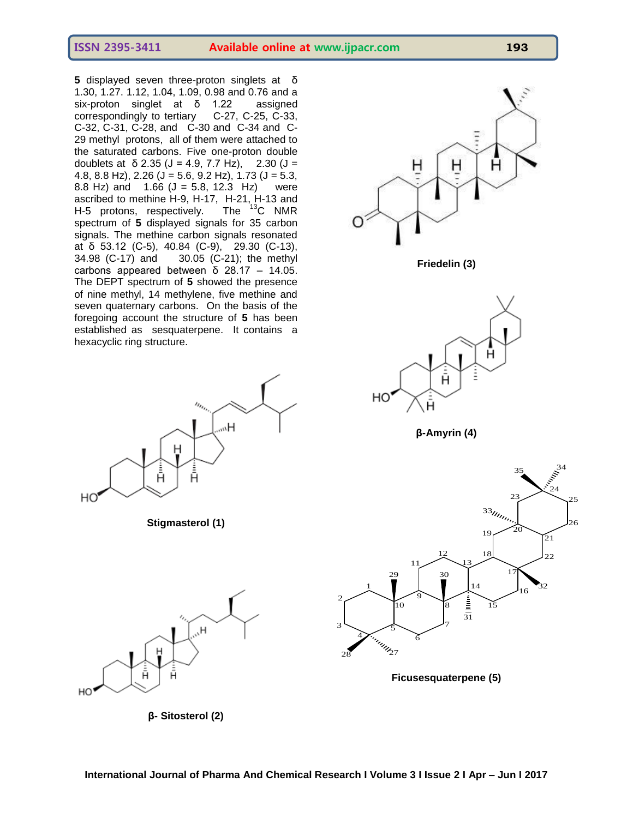**ISSN 2395-3411 Available online at www.ijpacr.com 193**

**5** displayed seven three-proton singlets at δ 1.30, 1.27. 1.12, 1.04, 1.09, 0.98 and 0.76 and a six-proton singlet at δ 1.22 assigned correspondingly to tertiary C-27, C-25, C-33, C-32, C-31, C-28, and C-30 and C-34 and C-29 methyl protons, all of them were attached to the saturated carbons. Five one-proton double doublets at δ 2.35 ( $J = 4.9$ , 7.7 Hz), 2.30 ( $J =$ 4.8, 8.8 Hz), 2.26 ( $J = 5.6$ , 9.2 Hz), 1.73 ( $J = 5.3$ , 8.8 Hz) and  $1.66$  (J = 5.8, 12.3 Hz) were ascribed to methine H-9, H-17, H-21, H-13 and<br>H-5 protons, respectively. The  $^{13}C$  NMR H-5 protons, respectively. spectrum of **5** displayed signals for 35 carbon signals. The methine carbon signals resonated at δ 53.12 (C-5), 40.84 (C-9), 29.30 (C-13), 34.98 (C-17) and 30.05 (C-21); the methyl carbons appeared between  $\delta$  28.17 – 14.05. The DEPT spectrum of **5** showed the presence of nine methyl, 14 methylene, five methine and seven quaternary carbons. On the basis of the foregoing account the structure of **5** has been established as sesquaterpene. It contains a hexacyclic ring structure.



**Stigmasterol (1)**



**β- Sitosterol (2)**







**β-Amyrin (4)**



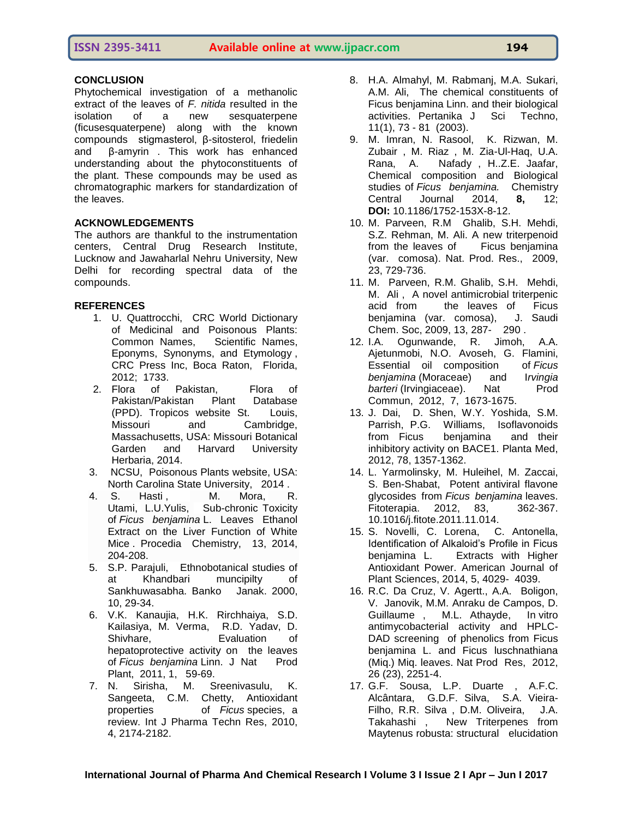#### **ISSN 2395-3411 Available online at www.ijpacr.com 194**

Phytochemical investigation of a methanolic extract of the leaves of *F. nitida* resulted in the isolation of a new sesquaterpene (ficusesquaterpene) along with the known compounds stigmasterol, β-sitosterol, friedelin and β-amyrin . This work has enhanced understanding about the phytoconstituents of the plant. These compounds may be used as chromatographic markers for standardization of the leaves.

#### **ACKNOWLEDGEMENTS**

The authors are thankful to the instrumentation centers, Central Drug Research Institute, Lucknow and Jawaharlal Nehru University, New Delhi for recording spectral data of the compounds.

#### **REFERENCES**

- 1. U. Quattrocchi, CRC World Dictionary of Medicinal and Poisonous Plants: Common Names, Scientific Names, Eponyms, Synonyms, and Etymology , CRC Press Inc, Boca Raton, Florida, 2012; 1733.
- 2. Flora of Pakistan, Flora of Pakistan/Pakistan Plant Database (PPD). Tropicos website St. Louis, Missouri and Cambridge, Massachusetts, USA: Missouri Botanical Garden and Harvard University Herbaria, 2014.
- 3. NCSU, Poisonous Plants website, USA: North Carolina State University, 2014 .
- 4. [S. Hasti](http://www.sciencedirect.com/science/article/pii/S1876619614002174) , [M. Mora,](http://www.sciencedirect.com/science/article/pii/S1876619614002174) R. [Utami,](http://www.sciencedirect.com/science/article/pii/S1876619614002174) [L.U.Yulis,](http://www.sciencedirect.com/science/article/pii/S1876619614002174) Sub-chronic Toxicity of *Ficus benjamina* L. Leaves Ethanol Extract on the Liver Function of White Mice . Procedia [Chemistry,](http://www.sciencedirect.com/science/journal/18766196) [13,](http://www.sciencedirect.com/science/journal/18766196/13/supp/C) 2014, 204-208.
- 5. S.P. Parajuli, Ethnobotanical studies of at Khandbari muncipilty of Sankhuwasabha. Banko Janak. 2000, 10, 29-34.
- 6. V.K. Kanaujia, H.K. Rirchhaiya, S.D. Kailasiya, M. Verma, R.D. Yadav, D. Shivhare, Evaluation of hepatoprotective activity on the leaves of *Ficus benjamina* Linn. J Nat Prod Plant, 2011, 1, 59-69.
- 7. N. Sirisha, M. Sreenivasulu, K. Sangeeta, C.M. Chetty, Antioxidant properties of *Ficus* species, a review. Int J Pharma Techn Res, 2010, 4, 2174-2182.
- 8. H.A. Almahyl, M. Rabmanj, M.A. Sukari, A.M. Ali, The chemical constituents of Ficus benjamina Linn. and their biological activities. Pertanika J Sci Techno, 11(1), 73 - 81 (2003).
- 9. M. Imran, N. Rasool, K. Rizwan, M. Zubair , M. Riaz , M. Zia-Ul-Haq, U.A. Rana, A. Nafady , H..Z.E. Jaafar, Chemical composition and Biological studies of *Ficus benjamina.* Chemistry Central Journal 2014, **8,** 12; **DOI:** 10.1186/1752-153X-8-12.
- 10. M. Parveen, R.M Ghalib, S.H. Mehdi, S.Z. Rehman, M. Ali. A new triterpenoid from the leaves of Ficus benjamina (var. comosa). Nat. Prod. Res., 2009, 23, 729-736.
- 11. M. Parveen, R.M. Ghalib, S.H. Mehdi, M. Ali , A novel antimicrobial triterpenic acid from the leaves of Ficus<br>benjamina (var. comosa), J. Saudi benjamina (var. comosa), Chem. Soc, 2009, 13, 287- 290 .
- 12. I.A. Ogunwande, R. Jimoh, A.A. Ajetunmobi, N.O. Avoseh, G. Flamini, Essential oil composition of *Ficus benjamina* (Moraceae) and I*rvingia*  **barteri** (Irvingiaceae). Nat Prod Commun, 2012, 7, 1673-1675.
- 13. J. Dai, D. Shen, W.Y. Yoshida, S.M. Parrish, P.G. Williams, Isoflavonoids from Ficus benjamina and their inhibitory activity on BACE1. Planta Med, 2012, 78, 1357-1362.
- 14. L. Yarmolinsky, M. Huleihel, M. Zaccai, S. Ben-Shabat, Potent antiviral flavone glycosides from *Ficus benjamina* leaves. Fitoterapia. 2012, 83, 362-367. 10.1016/j.fitote.2011.11.014.
- 15. S. Novelli, C. Lorena, C. Antonella, Identification of Alkaloid's Profile in Ficus benjamina L. Extracts with Higher Antioxidant Power. American Journal of Plant Sciences, 2014, 5, 4029- 4039.
- 16. R.C. Da Cruz, V. Agertt., A.A. Boligon, V. Janovik, M.M. Anraku de Campos, D. Guillaume , M.L. Athayde, In vitro antimycobacterial activity and HPLC-DAD screening of phenolics from Ficus benjamina L. and Ficus luschnathiana (Miq.) Miq. leaves. Nat Prod Res, 2012, 26 (23), 2251-4.
- 17. G.F. Sousa, L.P. Duarte , A.F.C. Alcântara, G.D.F. Silva, S.A. Vieira-Filho, R.R. Silva , D.M. Oliveira, J.A. Takahashi , New Triterpenes from Maytenus robusta: structural elucidation